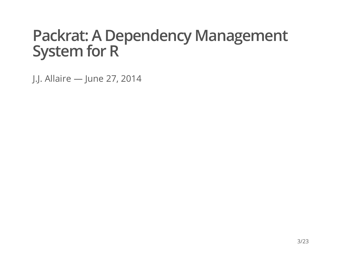#### **Packrat: A Dependency Management System for R**

J.J. Allaire — June 27, 2014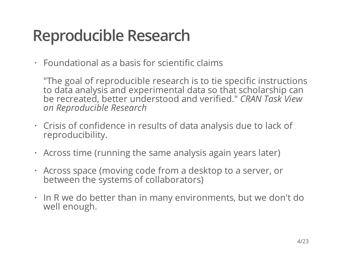## **Reproducible Research**

Foundational as a basis for scientific claims **·**

"The goal of reproducible research is to tie specific instructions to data analysis and experimental data so that scholarship can be recreated, better understood and verified." *CRAN Task View on Reproducible Research*

- Crisis of confidence in results of data analysis due to lack of **·** reproducibility.
- Across time (running the same analysis again years later) **·**
- Across space (moving code from a desktop to a server, or **·** between the systems of collaborators)
- In R we do better than in many environments, but we don't do **·** well enough.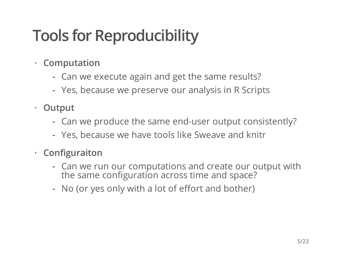# **Tools for Reproducibility**

- **· Computation**
	- Can we execute again and get the same results? **-**
	- Yes, because we preserve our analysis in R Scripts **-**
- **· Output**
	- Can we produce the same end-user output consistently? **-**
	- Yes, because we have tools like Sweave and knitr **-**
- **· Configuraiton**
	- Can we run our computations and create our output with  the same configuration across time and space?
	- No (or yes only with a lot of effort and bother) **-**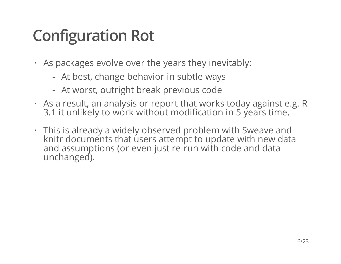# **Configuration Rot**

- As packages evolve over the years they inevitably: **·**
	- At best, change behavior in subtle ways **-**
	- At worst, outright break previous code **-**
- As a result, an analysis or report that works today against e.g. R **·** 3.1 it unlikely to work without modification in 5 years time.
- This is already a widely observed problem with Sweave and **·** knitr documents that users attempt to update with new data and assumptions (or even just re-run with code and data unchanged).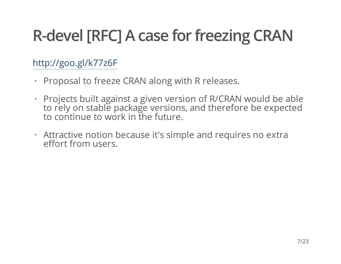# **R-devel [RFC] A case for freezing CRAN**

#### <http://goo.gl/k77z6F>

- Proposal to freeze CRAN along with R releases. **·**
- Projects built against a given version of R/CRAN would be able **·** to rely on stable package versions, and therefore be expected to continue to work in the future.
- Attractive notion because it's simple and requires no extra **·** effort from users.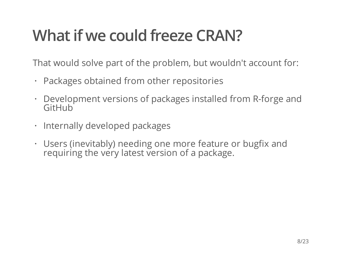# **Whatif we could freeze CRAN?**

That would solve part of the problem, but wouldn't account for:

- Packages obtained from other repositories **·**
- Development versions of packages installed from R-forge and **·** GitHub
- Internally developed packages
- Users (inevitably) needing one more feature or bugfix and **·** requiring the very latest version of a package.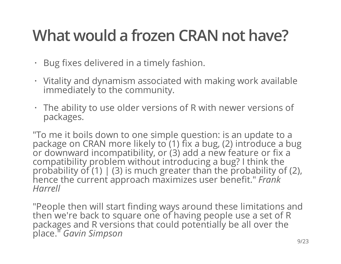# **What would a frozen CRAN not have?**

- Bug fixes delivered in a timely fashion. **·**
- Vitality and dynamism associated with making work available **·** immediately to the community.
- The ability to use older versions of R with newer versions of **·** packages.

"To me it boils down to one simple question: is an update to a package on CRAN more likely to (1) fix a bug, (2) introduce a bug or downward incompatibility, or (3) add a new feature or fix a compatibility problem without introducing a bug? I think the probability of  $(1)$  |  $(3)$  is much greater than the probability of  $(2)$ , hence the current approach maximizes user benefit." *Frank Harrell*

"People then will start finding ways around these limitations and then we're back to square one of having people use a set of R packages and R versions that could potentially be all over the place." *Gavin Simpson*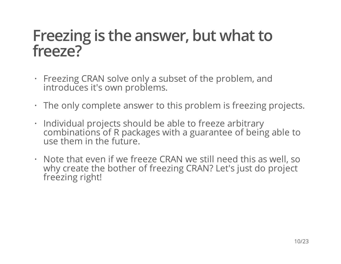#### **Freezing is the answer, but what to freeze?**

- Freezing CRAN solve only a subset of the problem, and **·** introduces it's own problems.
- The only complete answer to this problem is freezing projects. **·**
- Individual projects should be able to freeze arbitrary **·** combinations of R packages with a guarantee of being able to use them in the future.
- Note that even if we freeze CRAN we still need this as well, so **·** why create the bother of freezing CRAN? Let's just do project freezing right!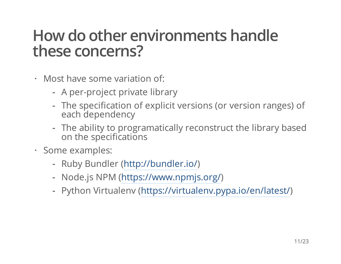#### **How do other environments handle these concerns?**

- Most have some variation of: **·**
	- A per-project private library **-**
	- The specification of explicit versions (or version ranges) of  each dependency
	- The ability to programatically reconstruct the library based  on the specifications
- Some examples: **·**
	- Ruby Bundler [\(http://bundler.io/\)](http://bundler.io/) **-**
	- Node.js NPM ([https://www.npmjs.org/\)](https://www.npmjs.org/) **-**
	- Python Virtualenv [\(https://virtualenv.pypa.io/en/latest/\)](https://virtualenv.pypa.io/en/latest/) **-**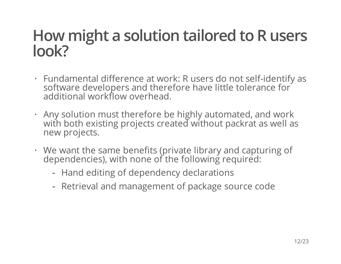### **How might a solution tailored to R users look?**

- Fundamental difference at work: R users do not self-identify as **·** software developers and therefore have little tolerance for additional workflow overhead.
- Any solution must therefore be highly automated, and work **·** with both existing projects created without packrat as well as new projects.
- We want the same benefits (private library and capturing of **·** dependencies), with none of the following required:
	- Hand editing of dependency declarations **-**
	- Retrieval and management of package source code **-**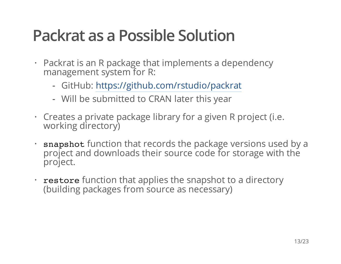### **Packrat as a Possible Solution**

- Packrat is an R package that implements a dependency **·** management system for R:
	- GitHub: <https://github.com/rstudio/packrat> **-**
	- Will be submitted to CRAN later this year **-**
- Creates a private package library for a given R project (i.e. **·** working directory)
- snapshot function that records the package versions used by a project and downloads their source code for storage with the project.
- restore function that applies the snapshot to a directory (building packages from source as necessary)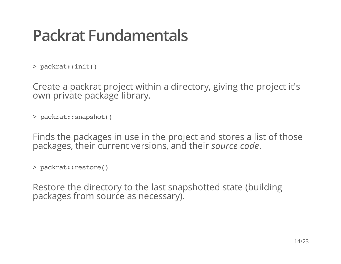### **Packrat Fundamentals**

>packrat::init()

Create a packrat project within a directory, giving the project it's own private package library.

>packrat::snapshot()

Finds the packages in use in the project and stores a list of those packages, their current versions, and their *source code*.

```
>packrat::restore()
```
Restore the directory to the last snapshotted state (building packages from source as necessary).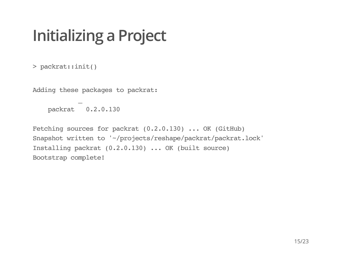# **Initializing a Project**

>packrat::init()

Adding these packages to packrat:

packrat 0.2.0.130

 $\mathbf{r}$ 

Fetching sources for packrat  $(0.2.0.130)$ ...OK (GitHub) Snapshot written to '~/projects/reshape/packrat/packrat.lock' Installing packrat (0.2.0.130) ... OK (built source) Bootstrap complete!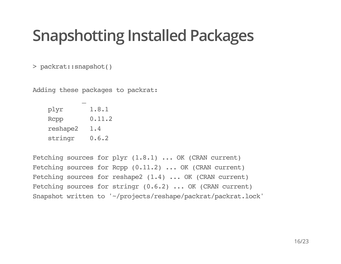### **Snapshotting Installed Packages**

>packrat::snapshot()

Adding these packages to packrat:

 $\mathbf{r}$ 

| plyr     | 1.8.1  |
|----------|--------|
| Rcpp     | 0.11.2 |
| reshape2 | 1.4    |
| stringr  | 0.6.2  |

Fetching sources for plyr  $(1.8.1)$ ... OK (CRAN current) Fetching sources for Rcpp  $(0.11.2)$ ...OK (CRAN current) Fetching sources for reshape2  $(1.4)$  ... OK (CRAN current) Fetching sources for stringr  $(0.6.2)$ ...OK (CRAN current) Snapshot written to '~/projects/reshape/packrat/packrat.lock'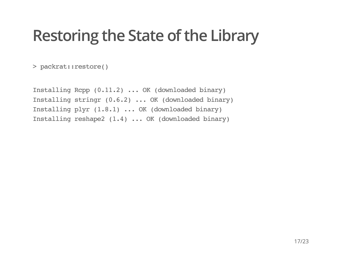### **Restoring the State of the Library**

>packrat::restore()

Installing Rcpp  $(0.11.2)$ ...OK (downloaded binary) Installing stringr (0.6.2) ... OK (downloaded binary) Installing plyr (1.8.1) ... OK (downloaded binary) Installing reshape2  $(1.4)$ ...OK (downloaded binary)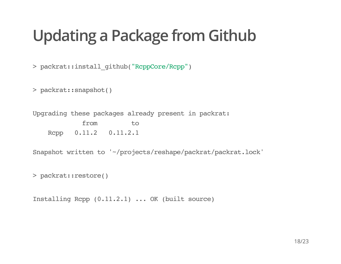# **Updating a Package from Github**

>packrat::install\_github("RcppCore/Rcpp")

>packrat::snapshot()

Upgrading these packages already present in packrat: from to Rcpp 0.11.2 0.11.2.1

Snapshot written to '~/projects/reshape/packrat/packrat.lock'

>packrat::restore()

Installing Rcpp  $(0.11.2.1)$ ...OK (built source)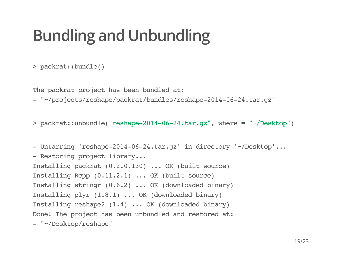# **Bundling and Unbundling**

>packrat::bundle()

The packrat project has been bundled at:

-"~/projects/reshape/packrat/bundles/reshape-2014-06-24.tar.gz"

> packrat::unbundle("reshape-2014-06-24.tar.qz", where = "~/Desktop")

- Untarring 'reshape-2014-06-24.tar.gz' in directory '~/Desktop'... - Restoring project library... Installing packrat (0.2.0.130) ... OK (built source) Installing Rcpp  $(0.11.2.1)$ ...OK (built source) Installing stringr (0.6.2)... OK (downloaded binary) Installing plyr  $(1.8.1)$ ...OK (downloaded binary) Installing reshape2  $(1.4)$  ... OK (downloaded binary) Done! The project has been unbundled and restored at: -"~/Desktop/reshape"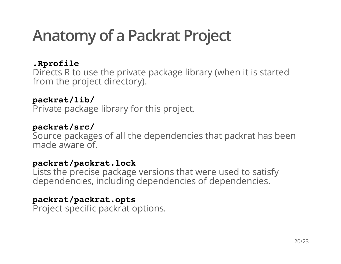## **Anatomy of a Packrat Project**

#### **.Rprofile**

Directs R to use the private package library (when it is started from the project directory).

#### **packrat/lib/**

Private package library for this project.

#### **packrat/src/**

Source packages of all the dependencies that packrat has been made aware of.

#### **packrat/packrat.lock**

Lists the precise package versions that were used to satisfy dependencies, including dependencies of dependencies.

#### **packrat/packrat.opts**

Project-specific packrat options.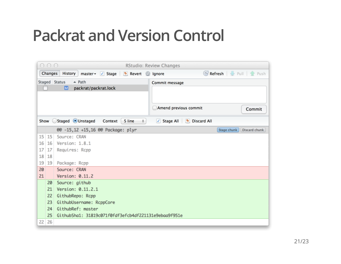### **Packrat and Version Control**

| 000<br><b>RStudio: Review Changes</b>                                                     |                                                     |                                                      |                       |             |               |  |
|-------------------------------------------------------------------------------------------|-----------------------------------------------------|------------------------------------------------------|-----------------------|-------------|---------------|--|
| Refresh   Pull   Push<br><b>History</b><br>Changes<br>master v Stage b Revert g Ignore    |                                                     |                                                      |                       |             |               |  |
|                                                                                           | Staged Status<br>$\triangle$ Path<br>Commit message |                                                      |                       |             |               |  |
| packrat/packrat.lock<br>₪                                                                 |                                                     |                                                      |                       |             |               |  |
|                                                                                           |                                                     |                                                      |                       |             |               |  |
|                                                                                           |                                                     |                                                      | Amend previous commit |             | Commit        |  |
| Show Staged Unstaged Context<br>5 line<br>$\div$<br>Stage All 5 Discard All<br>$\sqrt{2}$ |                                                     |                                                      |                       |             |               |  |
|                                                                                           |                                                     | @@ -15,12 +15,16 @@ Package: plyr                    |                       | Stage chunk | Discard chunk |  |
| 15 <sup>1</sup>                                                                           | 15                                                  | Source: CRAN                                         |                       |             |               |  |
| 16                                                                                        | 16                                                  | Version: 1.8.1                                       |                       |             |               |  |
| 17                                                                                        | 17                                                  | Requires: Rcpp                                       |                       |             |               |  |
|                                                                                           | 18 18                                               |                                                      |                       |             |               |  |
| 19                                                                                        | 19                                                  | Package: Rcpp                                        |                       |             |               |  |
| 20                                                                                        |                                                     | Source: CRAN                                         |                       |             |               |  |
| 21                                                                                        |                                                     | Version: $0.11.2$                                    |                       |             |               |  |
|                                                                                           | 20                                                  | Source: github                                       |                       |             |               |  |
|                                                                                           | 21                                                  | Version: 0.11.2.1                                    |                       |             |               |  |
|                                                                                           | 22                                                  | GithubRepo: Rcpp                                     |                       |             |               |  |
|                                                                                           | 23                                                  | GithubUsername: RcppCore                             |                       |             |               |  |
|                                                                                           | 24                                                  | GithubRef: master                                    |                       |             |               |  |
|                                                                                           | 25                                                  | GithubSha1: 31819c071f0fdf3efcb4df221131e9ebaa9f951e |                       |             |               |  |
| 22                                                                                        | 26                                                  |                                                      |                       |             |               |  |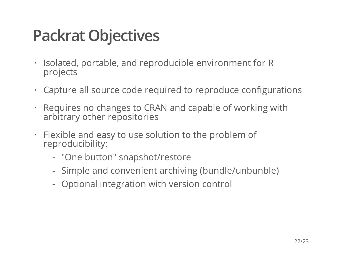## **Packrat Objectives**

- Isolated, portable, and reproducible environment for R projects **·**
- Capture all source code required to reproduce configurations **·**
- Requires no changes to CRAN and capable of working with **·** arbitrary other repositories
- Flexible and easy to use solution to the problem of **·** reproducibility:
	- "One button" snapshot/restore **-**
	- Simple and convenient archiving (bundle/unbunble) **-**
	- Optional integration with version control **-**